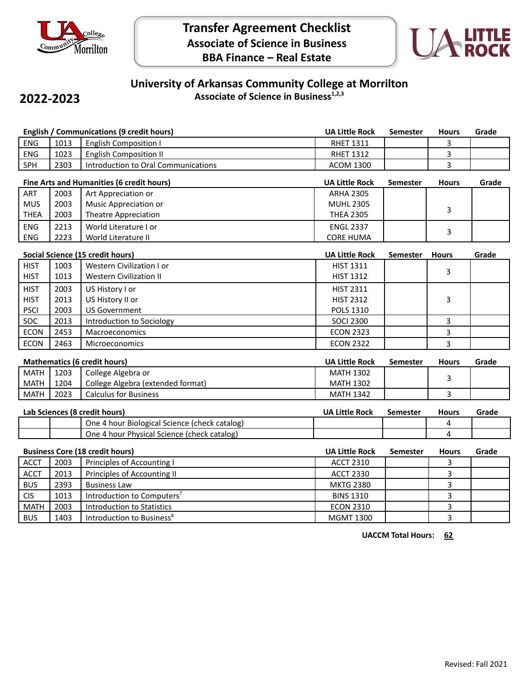

**2022-2023**



## **University of Arkansas Community College at Morrilton Associate of Science in Business1,2,3**

|                                           |      | English / Communications (9 credit hours)     | <b>UA Little Rock</b> | <b>Semester</b> | <b>Hours</b> | Grade |
|-------------------------------------------|------|-----------------------------------------------|-----------------------|-----------------|--------------|-------|
| <b>ENG</b>                                | 1013 | <b>English Composition I</b>                  | <b>RHET 1311</b>      |                 | 3            |       |
| ENG                                       | 1023 | <b>English Composition II</b>                 | <b>RHET 1312</b>      |                 | 3            |       |
| SPH                                       | 2303 | Introduction to Oral Communications           | <b>ACOM 1300</b>      |                 | 3            |       |
| Fine Arts and Humanities (6 credit hours) |      |                                               | <b>UA Little Rock</b> | Semester        | <b>Hours</b> | Grade |
| ART                                       | 2003 | Art Appreciation or                           | <b>ARHA 2305</b>      |                 |              |       |
| <b>MUS</b>                                | 2003 | <b>Music Appreciation or</b>                  | <b>MUHL 2305</b>      |                 |              |       |
| <b>THEA</b>                               | 2003 | <b>Theatre Appreciation</b>                   | <b>THEA 2305</b>      |                 | 3            |       |
| ENG                                       | 2213 | World Literature I or                         | <b>ENGL 2337</b>      |                 |              |       |
| ENG                                       | 2223 | World Literature II                           | <b>CORE HUMA</b>      |                 | 3            |       |
| Social Science (15 credit hours)          |      |                                               | <b>UA Little Rock</b> | <b>Semester</b> | <b>Hours</b> | Grade |
| <b>HIST</b>                               | 1003 | Western Civilization I or                     | <b>HIST 1311</b>      |                 |              |       |
| <b>HIST</b>                               | 1013 | <b>Western Civilization II</b>                | <b>HIST 1312</b>      |                 | 3            |       |
| <b>HIST</b>                               | 2003 | US History I or                               | <b>HIST 2311</b>      |                 |              |       |
| <b>HIST</b>                               | 2013 | US History II or                              | <b>HIST 2312</b>      |                 | 3            |       |
| <b>PSCI</b>                               | 2003 | <b>US Government</b>                          | POLS 1310             |                 |              |       |
| SOC                                       | 2013 | Introduction to Sociology                     | <b>SOCI 2300</b>      |                 | 3            |       |
| <b>ECON</b>                               | 2453 | Macroeconomics                                | <b>ECON 2323</b>      |                 | 3            |       |
| <b>ECON</b>                               | 2463 | Microeconomics                                | <b>ECON 2322</b>      |                 | 3            |       |
| <b>Mathematics (6 credit hours)</b>       |      |                                               | <b>UA Little Rock</b> | <b>Semester</b> | <b>Hours</b> | Grade |
| <b>MATH</b>                               | 1203 | College Algebra or                            | <b>MATH 1302</b>      |                 |              |       |
| <b>MATH</b>                               | 1204 | College Algebra (extended format)             | <b>MATH 1302</b>      |                 | 3            |       |
| <b>MATH</b>                               | 2023 | <b>Calculus for Business</b>                  | <b>MATH 1342</b>      |                 | 3            |       |
| Lab Sciences (8 credit hours)             |      |                                               | <b>UA Little Rock</b> | <b>Semester</b> | <b>Hours</b> | Grade |
|                                           |      | One 4 hour Biological Science (check catalog) |                       |                 | 4            |       |
|                                           |      | One 4 hour Physical Science (check catalog)   |                       |                 | 4            |       |
| <b>Business Core (18 credit hours)</b>    |      |                                               | <b>UA Little Rock</b> | <b>Semester</b> | <b>Hours</b> | Grade |
| <b>ACCT</b>                               | 2003 | Principles of Accounting I                    | <b>ACCT 2310</b>      |                 | 3            |       |
| <b>ACCT</b>                               | 2013 | Principles of Accounting II                   | <b>ACCT 2330</b>      |                 | 3            |       |
| <b>BUS</b>                                | 2393 | <b>Business Law</b>                           | <b>MKTG 2380</b>      |                 | 3            |       |
| <b>CIS</b>                                | 1013 | Introduction to Computers <sup>7</sup>        | <b>BINS 1310</b>      |                 | 3            |       |
| <b>MATH</b>                               | 2003 | <b>Introduction to Statistics</b>             | <b>ECON 2310</b>      |                 | 3            |       |
| <b>BUS</b>                                | 1403 | Introduction to Business <sup>8</sup>         | <b>MGMT 1300</b>      |                 | 3            |       |

**UACCM Total Hours: 62**